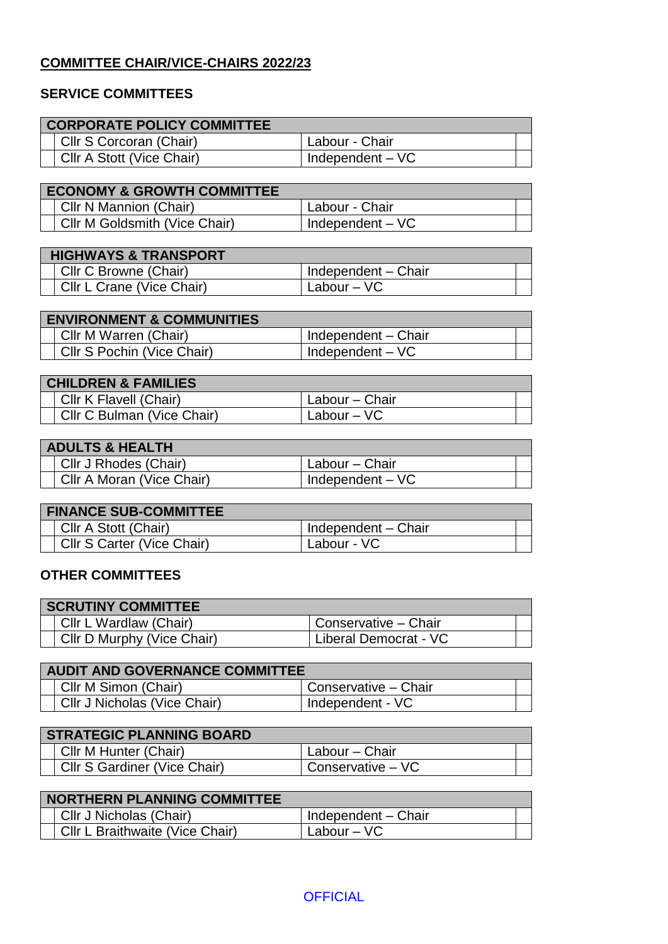## **COMMITTEE CHAIR/VICE-CHAIRS 2022/23**

## **SERVICE COMMITTEES**

| <b>CORPORATE POLICY COMMITTEE</b>     |                     |  |  |
|---------------------------------------|---------------------|--|--|
| Cllr S Corcoran (Chair)               | Labour - Chair      |  |  |
| Cllr A Stott (Vice Chair)             | Independent $-VC$   |  |  |
|                                       |                     |  |  |
| <b>ECONOMY &amp; GROWTH COMMITTEE</b> |                     |  |  |
| Cllr N Mannion (Chair)                | Labour - Chair      |  |  |
| Cllr M Goldsmith (Vice Chair)         | Independent $-VC$   |  |  |
|                                       |                     |  |  |
| <b>HIGHWAYS &amp; TRANSPORT</b>       |                     |  |  |
| Cllr C Browne (Chair)                 | Independent - Chair |  |  |
| Cllr L Crane (Vice Chair)             | Labour $-$ VC       |  |  |
|                                       |                     |  |  |
| <b>FAILURANIMENT &amp; CAMMULI</b>    |                     |  |  |

| <b>ENVIRONMENT &amp; COMMUNITIES</b> |  |
|--------------------------------------|--|
| Independent - Chair                  |  |
| Independent $-VC$                    |  |
|                                      |  |

| <b>CHILDREN &amp; FAMILIES</b> |                            |                 |  |
|--------------------------------|----------------------------|-----------------|--|
|                                | Cllr K Flavell (Chair)     | 'Labour – Chair |  |
|                                | Cllr C Bulman (Vice Chair) | Labour $-$ VC   |  |

## **ADULTS & HEALTH**

| 7 \P Y L I Y & I I L / \L I I I |                   |  |
|---------------------------------|-------------------|--|
| Cllr J Rhodes (Chair)           | Labour – Chair    |  |
| Cllr A Moran (Vice Chair)       | Independent $-VC$ |  |

| <b>FINANCE SUB-COMMITTEE</b> |                     |
|------------------------------|---------------------|
| CIIr A Stott (Chair)         | Independent - Chair |
| Cllr S Carter (Vice Chair)   | Labour - VC         |

## **OTHER COMMITTEES**

| <b>SCRUTINY COMMITTEE</b>  |                       |
|----------------------------|-----------------------|
| Cllr L Wardlaw (Chair)     | Conservative - Chair  |
| Cllr D Murphy (Vice Chair) | Liberal Democrat - VC |

| <b>AUDIT AND GOVERNANCE COMMITTEE</b> |                      |  |
|---------------------------------------|----------------------|--|
| Cllr M Simon (Chair)                  | Conservative - Chair |  |
| Cllr J Nicholas (Vice Chair)          | I Independent - VC   |  |

| <b>STRATEGIC PLANNING BOARD</b> |                              |                   |  |
|---------------------------------|------------------------------|-------------------|--|
|                                 | Cllr M Hunter (Chair)        | Labour – Chair    |  |
|                                 | Cllr S Gardiner (Vice Chair) | Conservative – VC |  |

| NORTHERN PLANNING COMMITTEE |                                 |                     |  |
|-----------------------------|---------------------------------|---------------------|--|
|                             | Cllr J Nicholas (Chair)         | Independent - Chair |  |
|                             | Cllr L Braithwaite (Vice Chair) | Labour – VC         |  |